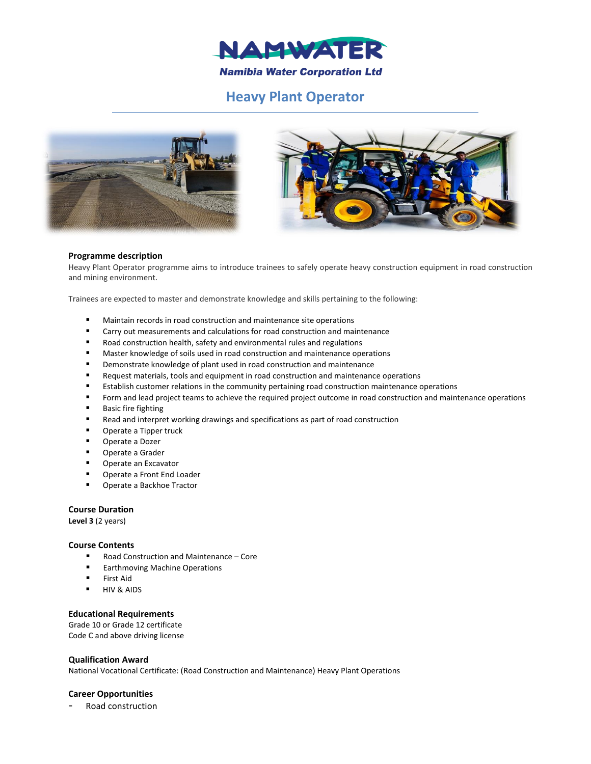

# **Heavy Plant Operator**





## **Programme description**

Heavy Plant Operator programme aims to introduce trainees to safely operate heavy construction equipment in road construction and mining environment.

Trainees are expected to master and demonstrate knowledge and skills pertaining to the following:

- Maintain records in road construction and maintenance site operations
- Carry out measurements and calculations for road construction and maintenance
- Road construction health, safety and environmental rules and regulations
- **Master knowledge of soils used in road construction and maintenance operations**
- **P** Demonstrate knowledge of plant used in road construction and maintenance
- **Request materials, tools and equipment in road construction and maintenance operations**
- Establish customer relations in the community pertaining road construction maintenance operations
- Form and lead project teams to achieve the required project outcome in road construction and maintenance operations
- **Basic fire fighting**
- Read and interpret working drawings and specifications as part of road construction
- **•** Operate a Tipper truck
- **Derate a Dozer**
- Operate a Grader
- **Derate an Excavator**
- Operate a Front End Loader
- Operate a Backhoe Tractor

# **Course Duration**

**Level 3** (2 years)

# **Course Contents**

- Road Construction and Maintenance Core
- **Earthmoving Machine Operations**
- **First Aid**
- **HIV & AIDS**

# **Educational Requirements**

Grade 10 or Grade 12 certificate Code C and above driving license

## **Qualification Award**

National Vocational Certificate: (Road Construction and Maintenance) Heavy Plant Operations

## **Career Opportunities**

Road construction